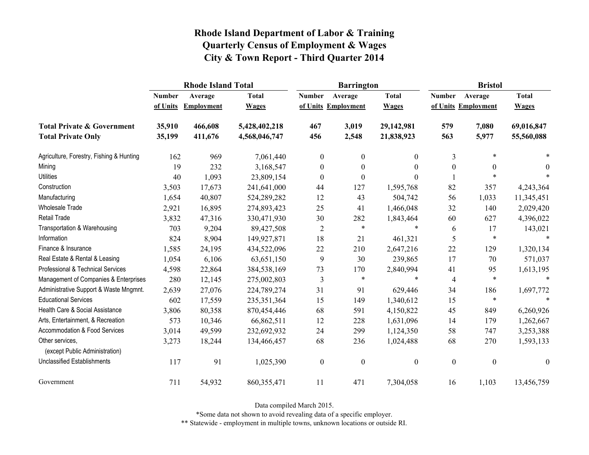|                                                   | <b>Rhode Island Total</b> |                   |               |                  | <b>Barrington</b>   |              | <b>Bristol</b>   |                     |                  |
|---------------------------------------------------|---------------------------|-------------------|---------------|------------------|---------------------|--------------|------------------|---------------------|------------------|
|                                                   | <b>Number</b>             | Average           | <b>Total</b>  | <b>Number</b>    | Average             | <b>Total</b> | <b>Number</b>    | Average             | <b>Total</b>     |
|                                                   | of Units                  | <b>Employment</b> | <b>Wages</b>  |                  | of Units Employment | <b>Wages</b> |                  | of Units Employment | <b>Wages</b>     |
| <b>Total Private &amp; Government</b>             | 35,910                    | 466,608           | 5,428,402,218 | 467              | 3,019               | 29,142,981   | 579              | 7,080               | 69,016,847       |
| <b>Total Private Only</b>                         | 35,199                    | 411,676           | 4,568,046,747 | 456              | 2,548               | 21,838,923   | 563              | 5,977               | 55,560,088       |
| Agriculture, Forestry, Fishing & Hunting          | 162                       | 969               | 7,061,440     | $\boldsymbol{0}$ | $\mathbf{0}$        | $\mathbf{0}$ | $\overline{3}$   | $\ast$              |                  |
| Mining                                            | 19                        | 232               | 3,168,547     | $\boldsymbol{0}$ | $\boldsymbol{0}$    | $\theta$     | $\boldsymbol{0}$ | $\boldsymbol{0}$    | $\theta$         |
| <b>Utilities</b>                                  | 40                        | 1,093             | 23,809,154    | $\boldsymbol{0}$ | $\theta$            | $\Omega$     |                  | $\ast$              |                  |
| Construction                                      | 3,503                     | 17,673            | 241,641,000   | 44               | 127                 | 1,595,768    | 82               | 357                 | 4,243,364        |
| Manufacturing                                     | 1,654                     | 40,807            | 524,289,282   | 12               | 43                  | 504,742      | 56               | 1,033               | 11,345,451       |
| Wholesale Trade                                   | 2,921                     | 16,895            | 274,893,423   | 25               | 41                  | 1,466,048    | 32               | 140                 | 2,029,420        |
| <b>Retail Trade</b>                               | 3,832                     | 47,316            | 330,471,930   | 30               | 282                 | 1,843,464    | 60               | 627                 | 4,396,022        |
| Transportation & Warehousing                      | 703                       | 9,204             | 89,427,508    | $\overline{2}$   | $\ast$              | $\ast$       | 6                | 17                  | 143,021          |
| Information                                       | 824                       | 8,904             | 149,927,871   | 18               | 21                  | 461,321      | 5                | $\ast$              | $\ast$           |
| Finance & Insurance                               | 1,585                     | 24,195            | 434,522,096   | 22               | 210                 | 2,647,216    | 22               | 129                 | 1,320,134        |
| Real Estate & Rental & Leasing                    | 1,054                     | 6,106             | 63,651,150    | 9                | 30                  | 239,865      | 17               | 70                  | 571,037          |
| Professional & Technical Services                 | 4,598                     | 22,864            | 384,538,169   | 73               | 170                 | 2,840,994    | 41               | 95                  | 1,613,195        |
| Management of Companies & Enterprises             | 280                       | 12,145            | 275,002,803   | 3                | $\ast$              | $\ast$       | 4                | $\ast$              | $\ast$           |
| Administrative Support & Waste Mngmnt.            | 2,639                     | 27,076            | 224,789,274   | 31               | 91                  | 629,446      | 34               | 186                 | 1,697,772        |
| <b>Educational Services</b>                       | 602                       | 17,559            | 235, 351, 364 | 15               | 149                 | 1,340,612    | 15               | $\ast$              | $\ast$           |
| Health Care & Social Assistance                   | 3,806                     | 80,358            | 870,454,446   | 68               | 591                 | 4,150,822    | 45               | 849                 | 6,260,926        |
| Arts, Entertainment, & Recreation                 | 573                       | 10,346            | 66,862,511    | 12               | 228                 | 1,631,096    | 14               | 179                 | 1,262,667        |
| Accommodation & Food Services                     | 3,014                     | 49,599            | 232,692,932   | 24               | 299                 | 1,124,350    | 58               | 747                 | 3,253,388        |
| Other services,<br>(except Public Administration) | 3,273                     | 18,244            | 134,466,457   | 68               | 236                 | 1,024,488    | 68               | 270                 | 1,593,133        |
| <b>Unclassified Establishments</b>                | 117                       | 91                | 1,025,390     | $\boldsymbol{0}$ | $\boldsymbol{0}$    | $\mathbf{0}$ | $\boldsymbol{0}$ | $\boldsymbol{0}$    | $\boldsymbol{0}$ |
| Government                                        | 711                       | 54,932            | 860, 355, 471 | 11               | 471                 | 7,304,058    | 16               | 1,103               | 13,456,759       |

Data compiled March 2015.

\*Some data not shown to avoid revealing data of a specific employer.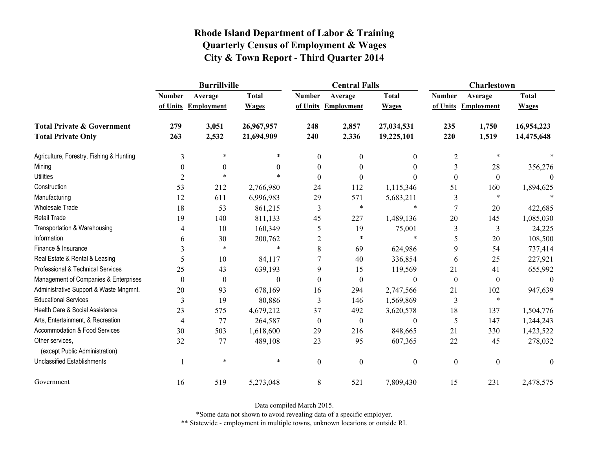|                                                   | <b>Burrillville</b> |                     |              |                  | <b>Central Falls</b> |                  | <b>Charlestown</b> |                     |              |
|---------------------------------------------------|---------------------|---------------------|--------------|------------------|----------------------|------------------|--------------------|---------------------|--------------|
|                                                   | <b>Number</b>       | Average             | <b>Total</b> | <b>Number</b>    | Average              | <b>Total</b>     | <b>Number</b>      | Average             | <b>Total</b> |
|                                                   |                     | of Units Employment | <b>Wages</b> |                  | of Units Employment  | <b>Wages</b>     |                    | of Units Employment | <b>Wages</b> |
| <b>Total Private &amp; Government</b>             | 279                 | 3,051               | 26,967,957   | 248              | 2,857                | 27,034,531       | 235                | 1,750               | 16,954,223   |
| <b>Total Private Only</b>                         | 263                 | 2,532               | 21,694,909   | 240              | 2,336                | 19,225,101       | 220                | 1,519               | 14,475,648   |
| Agriculture, Forestry, Fishing & Hunting          | 3                   | $\ast$              | *            | $\boldsymbol{0}$ | $\boldsymbol{0}$     | $\mathbf{0}$     | $\overline{2}$     | $\ast$              |              |
| Mining                                            | $\theta$            | $\theta$            | 0            | $\theta$         | $\theta$             | $\theta$         | 3                  | 28                  | 356,276      |
| <b>Utilities</b>                                  | $\overline{2}$      | $\ast$              | $\ast$       | $\theta$         | $\theta$             | $\theta$         | $\boldsymbol{0}$   | $\boldsymbol{0}$    | $\theta$     |
| Construction                                      | 53                  | 212                 | 2,766,980    | 24               | 112                  | 1,115,346        | 51                 | 160                 | 1,894,625    |
| Manufacturing                                     | 12                  | 611                 | 6,996,983    | 29               | 571                  | 5,683,211        | 3                  | $\ast$              |              |
| <b>Wholesale Trade</b>                            | 18                  | 53                  | 861,215      | 3                | $\ast$               | $\ast$           | $\overline{7}$     | 20                  | 422,685      |
| <b>Retail Trade</b>                               | 19                  | 140                 | 811,133      | 45               | 227                  | 1,489,136        | 20                 | 145                 | 1,085,030    |
| Transportation & Warehousing                      | 4                   | 10                  | 160,349      | 5                | 19                   | 75,001           | 3                  | 3                   | 24,225       |
| Information                                       | 6                   | 30                  | 200,762      | $\overline{2}$   | $\ast$               | $\ast$           | 5                  | $20\,$              | 108,500      |
| Finance & Insurance                               | 3                   | $\ast$              | $\ast$       | 8                | 69                   | 624,986          | 9                  | 54                  | 737,414      |
| Real Estate & Rental & Leasing                    | 5                   | 10                  | 84,117       |                  | 40                   | 336,854          | 6                  | 25                  | 227,921      |
| Professional & Technical Services                 | 25                  | 43                  | 639,193      | 9                | 15                   | 119,569          | 21                 | 41                  | 655,992      |
| Management of Companies & Enterprises             | $\theta$            | $\boldsymbol{0}$    | $\theta$     | $\Omega$         | $\boldsymbol{0}$     | $\theta$         | $\boldsymbol{0}$   | $\mathbf{0}$        | $\left($     |
| Administrative Support & Waste Mngmnt.            | 20                  | 93                  | 678,169      | 16               | 294                  | 2,747,566        | 21                 | 102                 | 947,639      |
| <b>Educational Services</b>                       | 3                   | 19                  | 80,886       | 3                | 146                  | 1,569,869        | 3                  | $\ast$              |              |
| Health Care & Social Assistance                   | 23                  | 575                 | 4,679,212    | 37               | 492                  | 3,620,578        | 18                 | 137                 | 1,504,776    |
| Arts, Entertainment, & Recreation                 | $\overline{4}$      | 77                  | 264,587      | $\boldsymbol{0}$ | $\boldsymbol{0}$     | $\boldsymbol{0}$ | 5                  | 147                 | 1,244,243    |
| Accommodation & Food Services                     | 30                  | 503                 | 1,618,600    | 29               | 216                  | 848,665          | 21                 | 330                 | 1,423,522    |
| Other services,<br>(except Public Administration) | 32                  | 77                  | 489,108      | 23               | 95                   | 607,365          | 22                 | 45                  | 278,032      |
| <b>Unclassified Establishments</b>                |                     | $\ast$              | $\ast$       | $\boldsymbol{0}$ | $\mathbf{0}$         | $\boldsymbol{0}$ | $\boldsymbol{0}$   | $\boldsymbol{0}$    | $\mathbf{0}$ |
| Government                                        | 16                  | 519                 | 5,273,048    | 8                | 521                  | 7,809,430        | 15                 | 231                 | 2,478,575    |

Data compiled March 2015.

\*Some data not shown to avoid revealing data of a specific employer.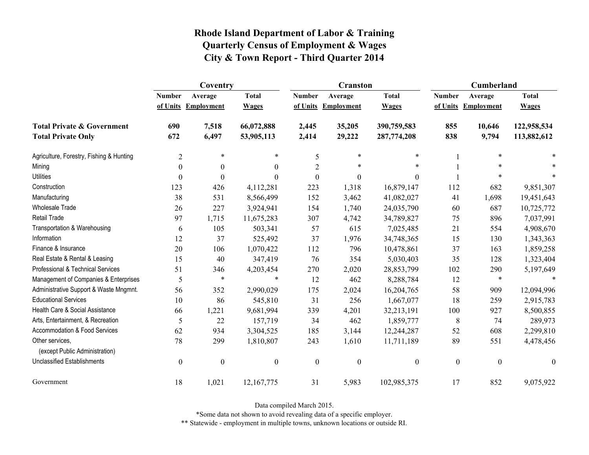|                                                   | Coventry         |                     |                  |                  | <b>Cranston</b>     |                  | <b>Cumberland</b> |                     |              |
|---------------------------------------------------|------------------|---------------------|------------------|------------------|---------------------|------------------|-------------------|---------------------|--------------|
|                                                   | <b>Number</b>    | Average             | <b>Total</b>     | <b>Number</b>    | Average             | <b>Total</b>     | <b>Number</b>     | Average             | <b>Total</b> |
|                                                   |                  | of Units Employment | <b>Wages</b>     |                  | of Units Employment | <b>Wages</b>     |                   | of Units Employment | <b>Wages</b> |
| <b>Total Private &amp; Government</b>             | 690              | 7,518               | 66,072,888       | 2,445            | 35,205              | 390,759,583      | 855               | 10,646              | 122,958,534  |
| <b>Total Private Only</b>                         | 672              | 6,497               | 53,905,113       | 2,414            | 29,222              | 287,774,208      | 838               | 9,794               | 113,882,612  |
| Agriculture, Forestry, Fishing & Hunting          | $\overline{2}$   | $\ast$              | $\ast$           | 5                | $\ast$              | $\ast$           |                   | $\ast$              |              |
| Mining                                            | $\theta$         | $\theta$            | $\Omega$         | $\overline{2}$   | $\ast$              | $\ast$           |                   |                     |              |
| <b>Utilities</b>                                  | $\boldsymbol{0}$ | $\theta$            | $\Omega$         | $\boldsymbol{0}$ | $\boldsymbol{0}$    | $\theta$         |                   | $\ast$              |              |
| Construction                                      | 123              | 426                 | 4,112,281        | 223              | 1,318               | 16,879,147       | 112               | 682                 | 9,851,307    |
| Manufacturing                                     | 38               | 531                 | 8,566,499        | 152              | 3,462               | 41,082,027       | 41                | 1,698               | 19,451,643   |
| <b>Wholesale Trade</b>                            | 26               | 227                 | 3,924,941        | 154              | 1,740               | 24,035,790       | 60                | 687                 | 10,725,772   |
| <b>Retail Trade</b>                               | 97               | 1,715               | 11,675,283       | 307              | 4,742               | 34,789,827       | 75                | 896                 | 7,037,991    |
| Transportation & Warehousing                      | 6                | 105                 | 503,341          | 57               | 615                 | 7,025,485        | 21                | 554                 | 4,908,670    |
| Information                                       | 12               | 37                  | 525,492          | 37               | 1,976               | 34,748,365       | 15                | 130                 | 1,343,363    |
| Finance & Insurance                               | 20               | 106                 | 1,070,422        | 112              | 796                 | 10,478,861       | 37                | 163                 | 1,859,258    |
| Real Estate & Rental & Leasing                    | 15               | 40                  | 347,419          | 76               | 354                 | 5,030,403        | 35                | 128                 | 1,323,404    |
| Professional & Technical Services                 | 51               | 346                 | 4,203,454        | 270              | 2,020               | 28,853,799       | 102               | 290                 | 5,197,649    |
| Management of Companies & Enterprises             | 5                | $\ast$              | $\ast$           | 12               | 462                 | 8,288,784        | 12                | $\ast$              |              |
| Administrative Support & Waste Mngmnt.            | 56               | 352                 | 2,990,029        | 175              | 2,024               | 16,204,765       | 58                | 909                 | 12,094,996   |
| <b>Educational Services</b>                       | 10               | 86                  | 545,810          | 31               | 256                 | 1,667,077        | 18                | 259                 | 2,915,783    |
| Health Care & Social Assistance                   | 66               | 1,221               | 9,681,994        | 339              | 4,201               | 32,213,191       | 100               | 927                 | 8,500,855    |
| Arts, Entertainment, & Recreation                 | 5                | 22                  | 157,719          | 34               | 462                 | 1,859,777        | $8\,$             | 74                  | 289,973      |
| Accommodation & Food Services                     | 62               | 934                 | 3,304,525        | 185              | 3,144               | 12,244,287       | 52                | 608                 | 2,299,810    |
| Other services,<br>(except Public Administration) | 78               | 299                 | 1,810,807        | 243              | 1,610               | 11,711,189       | 89                | 551                 | 4,478,456    |
| <b>Unclassified Establishments</b>                | $\boldsymbol{0}$ | $\boldsymbol{0}$    | $\boldsymbol{0}$ | $\boldsymbol{0}$ | $\boldsymbol{0}$    | $\boldsymbol{0}$ | $\boldsymbol{0}$  | $\boldsymbol{0}$    | $\theta$     |
| Government                                        | 18               | 1,021               | 12,167,775       | 31               | 5,983               | 102,985,375      | 17                | 852                 | 9,075,922    |

Data compiled March 2015.

\*Some data not shown to avoid revealing data of a specific employer.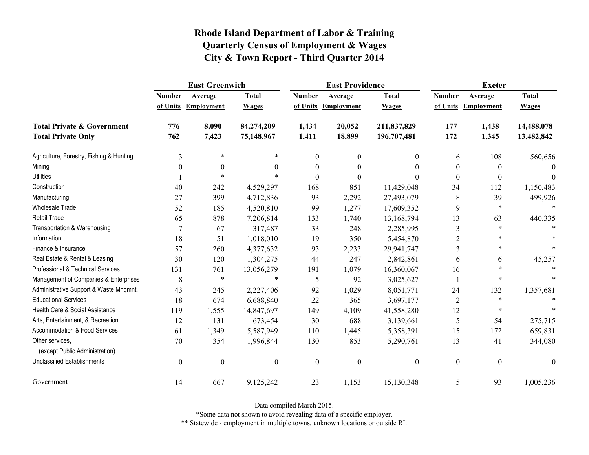|                                                   | <b>East Greenwich</b> |                     |                  |                  | <b>East Providence</b> |                  | <b>Exeter</b>    |                     |              |
|---------------------------------------------------|-----------------------|---------------------|------------------|------------------|------------------------|------------------|------------------|---------------------|--------------|
|                                                   | <b>Number</b>         | Average             | <b>Total</b>     | <b>Number</b>    | Average                | <b>Total</b>     | <b>Number</b>    | Average             | <b>Total</b> |
|                                                   |                       | of Units Employment | <b>Wages</b>     |                  | of Units Employment    | <b>Wages</b>     |                  | of Units Employment | <b>Wages</b> |
| <b>Total Private &amp; Government</b>             | 776                   | 8,090               | 84,274,209       | 1,434            | 20,052                 | 211,837,829      | 177              | 1,438               | 14,488,078   |
| <b>Total Private Only</b>                         | 762                   | 7,423               | 75,148,967       | 1,411            | 18,899                 | 196,707,481      | 172              | 1,345               | 13,482,842   |
| Agriculture, Forestry, Fishing & Hunting          | 3                     | $\ast$              |                  | $\mathbf{0}$     | $\mathbf{0}$           | 0                | 6                | 108                 | 560,656      |
| Mining                                            | $\theta$              | $\theta$            | $\Omega$         | 0                | 0                      | $\Omega$         | $\boldsymbol{0}$ | $\theta$            |              |
| <b>Utilities</b>                                  |                       | $\ast$              |                  | $\theta$         | $\theta$               | 0                | $\boldsymbol{0}$ | $\theta$            | $\theta$     |
| Construction                                      | 40                    | 242                 | 4,529,297        | 168              | 851                    | 11,429,048       | 34               | 112                 | 1,150,483    |
| Manufacturing                                     | 27                    | 399                 | 4,712,836        | 93               | 2,292                  | 27,493,079       | 8                | 39                  | 499,926      |
| <b>Wholesale Trade</b>                            | 52                    | 185                 | 4,520,810        | 99               | 1,277                  | 17,609,352       | 9                | $\ast$              | $\ast$       |
| <b>Retail Trade</b>                               | 65                    | 878                 | 7,206,814        | 133              | 1,740                  | 13,168,794       | 13               | 63                  | 440,335      |
| Transportation & Warehousing                      | $\overline{7}$        | 67                  | 317,487          | 33               | 248                    | 2,285,995        | $\mathfrak{Z}$   | $\ast$              |              |
| Information                                       | 18                    | 51                  | 1,018,010        | 19               | 350                    | 5,454,870        | 2                |                     |              |
| Finance & Insurance                               | 57                    | 260                 | 4,377,632        | 93               | 2,233                  | 29,941,747       | 3                | $\ast$              |              |
| Real Estate & Rental & Leasing                    | 30                    | 120                 | 1,304,275        | 44               | 247                    | 2,842,861        | 6                | 6                   | 45,257       |
| Professional & Technical Services                 | 131                   | 761                 | 13,056,279       | 191              | 1,079                  | 16,360,067       | 16               | $\ast$              |              |
| Management of Companies & Enterprises             | 8                     | $\ast$              | $\ast$           | 5                | 92                     | 3,025,627        |                  | $\ast$              |              |
| Administrative Support & Waste Mngmnt.            | 43                    | 245                 | 2,227,406        | 92               | 1,029                  | 8,051,771        | 24               | 132                 | 1,357,681    |
| <b>Educational Services</b>                       | 18                    | 674                 | 6,688,840        | 22               | 365                    | 3,697,177        | $\overline{2}$   | $\ast$              |              |
| Health Care & Social Assistance                   | 119                   | 1,555               | 14,847,697       | 149              | 4,109                  | 41,558,280       | 12               | $\ast$              |              |
| Arts, Entertainment, & Recreation                 | 12                    | 131                 | 673,454          | 30               | 688                    | 3,139,661        | 5                | 54                  | 275,715      |
| <b>Accommodation &amp; Food Services</b>          | 61                    | 1,349               | 5,587,949        | 110              | 1,445                  | 5,358,391        | 15               | 172                 | 659,831      |
| Other services,<br>(except Public Administration) | 70                    | 354                 | 1,996,844        | 130              | 853                    | 5,290,761        | 13               | 41                  | 344,080      |
| <b>Unclassified Establishments</b>                | $\boldsymbol{0}$      | $\boldsymbol{0}$    | $\boldsymbol{0}$ | $\boldsymbol{0}$ | $\boldsymbol{0}$       | $\boldsymbol{0}$ | $\boldsymbol{0}$ | $\boldsymbol{0}$    | $\theta$     |
| Government                                        | 14                    | 667                 | 9,125,242        | 23               | 1,153                  | 15,130,348       | 5                | 93                  | 1,005,236    |

Data compiled March 2015.

\*Some data not shown to avoid revealing data of a specific employer.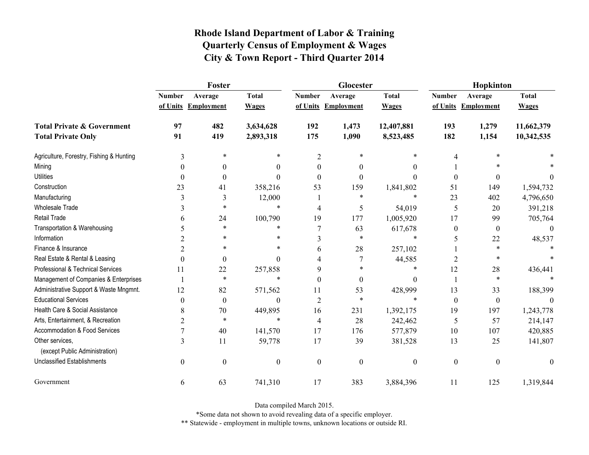|                                                   | Foster           |                     |                  |                  | Glocester           |                  | Hopkinton        |                     |              |  |
|---------------------------------------------------|------------------|---------------------|------------------|------------------|---------------------|------------------|------------------|---------------------|--------------|--|
|                                                   | <b>Number</b>    | Average             | <b>Total</b>     | <b>Number</b>    | Average             | <b>Total</b>     | <b>Number</b>    | Average             | <b>Total</b> |  |
|                                                   |                  | of Units Employment | <b>Wages</b>     |                  | of Units Employment | <b>Wages</b>     |                  | of Units Employment | <b>Wages</b> |  |
| <b>Total Private &amp; Government</b>             | 97               | 482                 | 3,634,628        | 192              | 1,473               | 12,407,881       | 193              | 1,279               | 11,662,379   |  |
| <b>Total Private Only</b>                         | 91               | 419                 | 2,893,318        | 175              | 1,090               | 8,523,485        | 182              | 1,154               | 10,342,535   |  |
| Agriculture, Forestry, Fishing & Hunting          | 3                | *                   | *                | $\overline{2}$   | 米                   | *                | 4                |                     |              |  |
| Mining                                            | $\theta$         | $\theta$            | 0                | $\theta$         | $\theta$            | $\theta$         |                  |                     |              |  |
| <b>Utilities</b>                                  | $\theta$         | $\boldsymbol{0}$    | $\Omega$         | $\Omega$         | $\theta$            | $\theta$         | $\boldsymbol{0}$ | 0                   | $\theta$     |  |
| Construction                                      | 23               | 41                  | 358,216          | 53               | 159                 | 1,841,802        | 51               | 149                 | 1,594,732    |  |
| Manufacturing                                     | 3                | 3                   | 12,000           |                  | *                   | $\ast$           | 23               | 402                 | 4,796,650    |  |
| <b>Wholesale Trade</b>                            | 3                | *                   | $\ast$           | 4                | 5                   | 54,019           | 5                | 20                  | 391,218      |  |
| Retail Trade                                      | 6                | 24                  | 100,790          | 19               | 177                 | 1,005,920        | 17               | 99                  | 705,764      |  |
| Transportation & Warehousing                      | 5                | $\ast$              | $\ast$           | $\overline{7}$   | 63                  | 617,678          | $\boldsymbol{0}$ | $\boldsymbol{0}$    | $\mathbf{0}$ |  |
| Information                                       |                  | *                   | *                | 3                | $\ast$              | $\ast$           | 5                | 22                  | 48,537       |  |
| Finance & Insurance                               | 2                | $\ast$              | *                | 6                | 28                  | 257,102          |                  | $\ast$              |              |  |
| Real Estate & Rental & Leasing                    | $\Omega$         | $\boldsymbol{0}$    | $\Omega$         | 4                |                     | 44,585           | 2                | $\ast$              |              |  |
| Professional & Technical Services                 | 11               | 22                  | 257,858          | 9                | *                   | *                | 12               | 28                  | 436,441      |  |
| Management of Companies & Enterprises             |                  | $\ast$              | $\ast$           | $\Omega$         | $\theta$            | $\mathbf{0}$     |                  | $\ast$              |              |  |
| Administrative Support & Waste Mngmnt.            | 12               | 82                  | 571,562          | 11               | 53                  | 428,999          | 13               | 33                  | 188,399      |  |
| <b>Educational Services</b>                       | $\theta$         | $\boldsymbol{0}$    | $\Omega$         | $\overline{2}$   | $\ast$              | $\ast$           | $\boldsymbol{0}$ | $\boldsymbol{0}$    |              |  |
| Health Care & Social Assistance                   | 8                | 70                  | 449,895          | 16               | 231                 | 1,392,175        | 19               | 197                 | 1,243,778    |  |
| Arts, Entertainment, & Recreation                 | $\overline{2}$   | $\ast$              | $\ast$           | 4                | 28                  | 242,462          | 5                | 57                  | 214,147      |  |
| Accommodation & Food Services                     |                  | 40                  | 141,570          | 17               | 176                 | 577,879          | 10               | 107                 | 420,885      |  |
| Other services,<br>(except Public Administration) | 3                | 11                  | 59,778           | 17               | 39                  | 381,528          | 13               | 25                  | 141,807      |  |
| <b>Unclassified Establishments</b>                | $\boldsymbol{0}$ | $\boldsymbol{0}$    | $\boldsymbol{0}$ | $\boldsymbol{0}$ | $\mathbf{0}$        | $\boldsymbol{0}$ | $\boldsymbol{0}$ | $\boldsymbol{0}$    | $\mathbf{0}$ |  |
| Government                                        | 6                | 63                  | 741,310          | 17               | 383                 | 3,884,396        | 11               | 125                 | 1,319,844    |  |

Data compiled March 2015.

\*Some data not shown to avoid revealing data of a specific employer.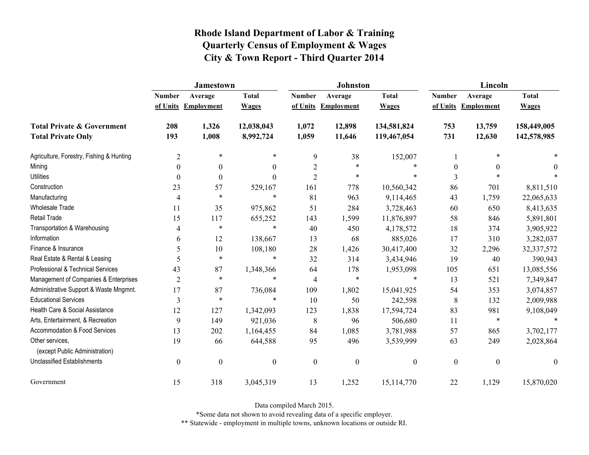|                                                   | <b>Jamestown</b> |                     |                  |                  | <b>Johnston</b>   |                  | Lincoln          |                     |                  |
|---------------------------------------------------|------------------|---------------------|------------------|------------------|-------------------|------------------|------------------|---------------------|------------------|
|                                                   | <b>Number</b>    | Average             | <b>Total</b>     | <b>Number</b>    | Average           | <b>Total</b>     | <b>Number</b>    | Average             | <b>Total</b>     |
|                                                   |                  | of Units Employment | <b>Wages</b>     | of Units         | <b>Employment</b> | <b>Wages</b>     |                  | of Units Employment | <b>Wages</b>     |
| <b>Total Private &amp; Government</b>             | 208              | 1,326               | 12,038,043       | 1,072            | 12,898            | 134,581,824      | 753              | 13,759              | 158,449,005      |
| <b>Total Private Only</b>                         | 193              | 1,008               | 8,992,724        | 1,059            | 11,646            | 119,467,054      | 731              | 12,630              | 142,578,985      |
| Agriculture, Forestry, Fishing & Hunting          | $\overline{2}$   | $\ast$              | $\ast$           | $\boldsymbol{9}$ | 38                | 152,007          |                  | *                   |                  |
| Mining                                            | $\Omega$         | $\mathbf{0}$        | $\boldsymbol{0}$ | $\overline{2}$   | $\ast$            | $\ast$           | $\boldsymbol{0}$ | $\mathbf{0}$        | 0                |
| <b>Utilities</b>                                  | $\theta$         | $\theta$            | $\theta$         | $\overline{2}$   | $\ast$            | $\ast$           | 3                |                     |                  |
| Construction                                      | 23               | 57                  | 529,167          | 161              | 778               | 10,560,342       | 86               | 701                 | 8,811,510        |
| Manufacturing                                     | 4                | $\ast$              | $\ast$           | 81               | 963               | 9,114,465        | 43               | 1,759               | 22,065,633       |
| <b>Wholesale Trade</b>                            | 11               | 35                  | 975,862          | 51               | 284               | 3,728,463        | 60               | 650                 | 8,413,635        |
| Retail Trade                                      | 15               | 117                 | 655,252          | 143              | 1,599             | 11,876,897       | 58               | 846                 | 5,891,801        |
| Transportation & Warehousing                      | 4                | $\ast$              | $\ast$           | 40               | 450               | 4,178,572        | 18               | 374                 | 3,905,922        |
| Information                                       | 6                | 12                  | 138,667          | 13               | 68                | 885,026          | 17               | 310                 | 3,282,037        |
| Finance & Insurance                               | 5                | 10                  | 108,180          | 28               | 1,426             | 30,417,400       | 32               | 2,296               | 32, 337, 572     |
| Real Estate & Rental & Leasing                    | 5                | $\ast$              | $\ast$           | 32               | 314               | 3,434,946        | 19               | 40                  | 390,943          |
| Professional & Technical Services                 | 43               | 87                  | 1,348,366        | 64               | 178               | 1,953,098        | 105              | 651                 | 13,085,556       |
| Management of Companies & Enterprises             | $\overline{2}$   | $\ast$              | $\ast$           | $\overline{4}$   | $\ast$            | $\ast$           | 13               | 521                 | 7,349,847        |
| Administrative Support & Waste Mngmnt.            | 17               | 87                  | 736,084          | 109              | 1,802             | 15,041,925       | 54               | 353                 | 3,074,857        |
| <b>Educational Services</b>                       | 3                | $\ast$              | $\ast$           | 10               | 50                | 242,598          | 8                | 132                 | 2,009,988        |
| Health Care & Social Assistance                   | 12               | 127                 | 1,342,093        | 123              | 1,838             | 17,594,724       | 83               | 981                 | 9,108,049        |
| Arts, Entertainment, & Recreation                 | 9                | 149                 | 921,036          | $\,8\,$          | 96                | 506,680          | 11               | $\ast$              | $\ast$           |
| <b>Accommodation &amp; Food Services</b>          | 13               | 202                 | 1,164,455        | 84               | 1,085             | 3,781,988        | 57               | 865                 | 3,702,177        |
| Other services,<br>(except Public Administration) | 19               | 66                  | 644,588          | 95               | 496               | 3,539,999        | 63               | 249                 | 2,028,864        |
| <b>Unclassified Establishments</b>                | $\boldsymbol{0}$ | $\boldsymbol{0}$    | $\boldsymbol{0}$ | $\boldsymbol{0}$ | $\boldsymbol{0}$  | $\boldsymbol{0}$ | $\boldsymbol{0}$ | $\boldsymbol{0}$    | $\boldsymbol{0}$ |
| Government                                        | 15               | 318                 | 3,045,319        | 13               | 1,252             | 15,114,770       | 22               | 1,129               | 15,870,020       |

Data compiled March 2015.

\*Some data not shown to avoid revealing data of a specific employer.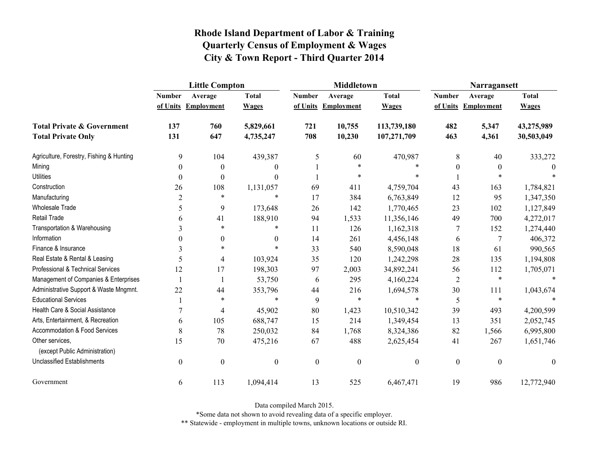|                                                   | <b>Little Compton</b> |                   |                  |                  | <b>Middletown</b>   |                  | Narragansett     |                     |              |
|---------------------------------------------------|-----------------------|-------------------|------------------|------------------|---------------------|------------------|------------------|---------------------|--------------|
|                                                   | <b>Number</b>         | Average           | <b>Total</b>     | <b>Number</b>    | Average             | <b>Total</b>     | <b>Number</b>    | Average             | <b>Total</b> |
|                                                   | of Units              | <b>Employment</b> | <b>Wages</b>     |                  | of Units Employment | <b>Wages</b>     |                  | of Units Employment | <b>Wages</b> |
| <b>Total Private &amp; Government</b>             | 137                   | 760               | 5,829,661        | 721              | 10,755              | 113,739,180      | 482              | 5,347               | 43,275,989   |
| <b>Total Private Only</b>                         | 131                   | 647               | 4,735,247        | 708              | 10,230              | 107,271,709      | 463              | 4,361               | 30,503,049   |
| Agriculture, Forestry, Fishing & Hunting          | 9                     | 104               | 439,387          | 5                | 60                  | 470,987          | 8                | 40                  | 333,272      |
| Mining                                            | $\theta$              | $\boldsymbol{0}$  | $\theta$         |                  | *                   |                  | $\theta$         | $\theta$            | $\theta$     |
| <b>Utilities</b>                                  | $\boldsymbol{0}$      | $\boldsymbol{0}$  | $\Omega$         |                  | $\ast$              |                  |                  | $\ast$              |              |
| Construction                                      | 26                    | 108               | 1,131,057        | 69               | 411                 | 4,759,704        | 43               | 163                 | 1,784,821    |
| Manufacturing                                     | $\overline{2}$        | $\ast$            | $\ast$           | 17               | 384                 | 6,763,849        | 12               | 95                  | 1,347,350    |
| <b>Wholesale Trade</b>                            | 5                     | 9                 | 173,648          | 26               | 142                 | 1,770,465        | 23               | 102                 | 1,127,849    |
| Retail Trade                                      | 6                     | 41                | 188,910          | 94               | 1,533               | 11,356,146       | 49               | 700                 | 4,272,017    |
| Transportation & Warehousing                      | 3                     | $\ast$            | *                | 11               | 126                 | 1,162,318        | 7                | 152                 | 1,274,440    |
| Information                                       | $\theta$              | $\boldsymbol{0}$  | $\theta$         | 14               | 261                 | 4,456,148        | 6                | 7                   | 406,372      |
| Finance & Insurance                               | 3                     | $\ast$            | $\ast$           | 33               | 540                 | 8,590,048        | 18               | 61                  | 990,565      |
| Real Estate & Rental & Leasing                    | 5                     | $\overline{4}$    | 103,924          | 35               | 120                 | 1,242,298        | 28               | 135                 | 1,194,808    |
| Professional & Technical Services                 | 12                    | 17                | 198,303          | 97               | 2,003               | 34,892,241       | 56               | 112                 | 1,705,071    |
| Management of Companies & Enterprises             |                       |                   | 53,750           | 6                | 295                 | 4,160,224        | $\overline{2}$   | $\ast$              |              |
| Administrative Support & Waste Mngmnt.            | 22                    | 44                | 353,796          | 44               | 216                 | 1,694,578        | 30               | 111                 | 1,043,674    |
| <b>Educational Services</b>                       |                       | $\ast$            | $\ast$           | 9                | $\ast$              | $\ast$           | 5                | $\ast$              |              |
| Health Care & Social Assistance                   | 7                     | 4                 | 45,902           | 80               | 1,423               | 10,510,342       | 39               | 493                 | 4,200,599    |
| Arts, Entertainment, & Recreation                 | 6                     | 105               | 688,747          | 15               | 214                 | 1,349,454        | 13               | 351                 | 2,052,745    |
| Accommodation & Food Services                     | 8                     | 78                | 250,032          | 84               | 1,768               | 8,324,386        | 82               | 1,566               | 6,995,800    |
| Other services.<br>(except Public Administration) | 15                    | 70                | 475,216          | 67               | 488                 | 2,625,454        | 41               | 267                 | 1,651,746    |
| <b>Unclassified Establishments</b>                | $\boldsymbol{0}$      | $\boldsymbol{0}$  | $\boldsymbol{0}$ | $\boldsymbol{0}$ | $\boldsymbol{0}$    | $\boldsymbol{0}$ | $\boldsymbol{0}$ | $\boldsymbol{0}$    | $\theta$     |
| Government                                        | 6                     | 113               | 1,094,414        | 13               | 525                 | 6,467,471        | 19               | 986                 | 12,772,940   |

Data compiled March 2015.

\*Some data not shown to avoid revealing data of a specific employer.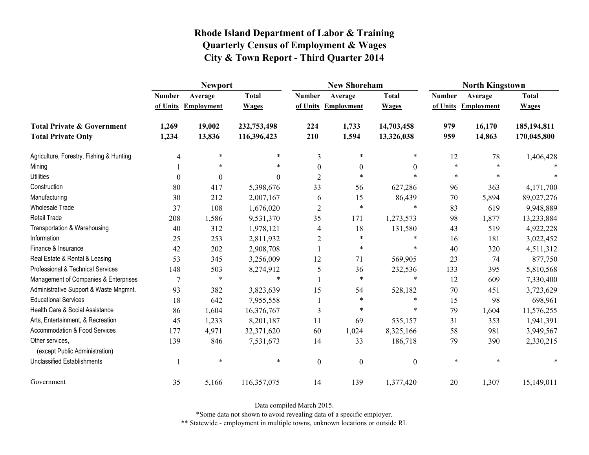|                                                   | <b>Newport</b>   |                     |              |                | <b>New Shoreham</b> |                  | <b>North Kingstown</b> |                     |              |
|---------------------------------------------------|------------------|---------------------|--------------|----------------|---------------------|------------------|------------------------|---------------------|--------------|
|                                                   | <b>Number</b>    | Average             | <b>Total</b> | <b>Number</b>  | Average             | <b>Total</b>     | <b>Number</b>          | Average             | <b>Total</b> |
|                                                   |                  | of Units Employment | <b>Wages</b> |                | of Units Employment | <b>Wages</b>     |                        | of Units Employment | <b>Wages</b> |
| <b>Total Private &amp; Government</b>             | 1,269            | 19,002              | 232,753,498  | 224            | 1,733               | 14,703,458       | 979                    | 16,170              | 185,194,811  |
| <b>Total Private Only</b>                         | 1,234            | 13,836              | 116,396,423  | 210            | 1,594               | 13,326,038       | 959                    | 14,863              | 170,045,800  |
| Agriculture, Forestry, Fishing & Hunting          | 4                | $\ast$              | *            | 3              | $\ast$              | *                | 12                     | 78                  | 1,406,428    |
| Mining                                            |                  | *                   | *            | $\theta$       | $\boldsymbol{0}$    | $\theta$         | *                      | $\ast$              |              |
| <b>Utilities</b>                                  | $\boldsymbol{0}$ | $\Omega$            | 0            | $\overline{2}$ | $\ast$              | $\ast$           | $\ast$                 | $\ast$              |              |
| Construction                                      | 80               | 417                 | 5,398,676    | 33             | 56                  | 627,286          | 96                     | 363                 | 4,171,700    |
| Manufacturing                                     | 30               | 212                 | 2,007,167    | 6              | 15                  | 86,439           | 70                     | 5,894               | 89,027,276   |
| <b>Wholesale Trade</b>                            | 37               | 108                 | 1,676,020    | $\overline{2}$ | $\ast$              | $\ast$           | 83                     | 619                 | 9,948,889    |
| <b>Retail Trade</b>                               | 208              | 1,586               | 9,531,370    | 35             | 171                 | 1,273,573        | 98                     | 1,877               | 13,233,884   |
| Transportation & Warehousing                      | 40               | 312                 | 1,978,121    | 4              | 18                  | 131,580          | 43                     | 519                 | 4,922,228    |
| Information                                       | 25               | 253                 | 2,811,932    | $\overline{2}$ | $\ast$              | $\ast$           | 16                     | 181                 | 3,022,452    |
| Finance & Insurance                               | 42               | 202                 | 2,908,708    |                | $\ast$              | $\ast$           | 40                     | 320                 | 4,511,312    |
| Real Estate & Rental & Leasing                    | 53               | 345                 | 3,256,009    | 12             | 71                  | 569,905          | 23                     | 74                  | 877,750      |
| Professional & Technical Services                 | 148              | 503                 | 8,274,912    | 5              | 36                  | 232,536          | 133                    | 395                 | 5,810,568    |
| Management of Companies & Enterprises             | 7                | $\ast$              | $\ast$       |                | $\ast$              | $\ast$           | 12                     | 609                 | 7,330,400    |
| Administrative Support & Waste Mngmnt.            | 93               | 382                 | 3,823,639    | 15             | 54                  | 528,182          | 70                     | 451                 | 3,723,629    |
| <b>Educational Services</b>                       | 18               | 642                 | 7,955,558    |                | $\ast$              | *                | 15                     | 98                  | 698,961      |
| Health Care & Social Assistance                   | 86               | 1,604               | 16,376,767   | 3              | $\ast$              | *                | 79                     | 1,604               | 11,576,255   |
| Arts, Entertainment, & Recreation                 | 45               | 1,233               | 8,201,187    | 11             | 69                  | 535,157          | 31                     | 353                 | 1,941,391    |
| Accommodation & Food Services                     | 177              | 4,971               | 32,371,620   | 60             | 1,024               | 8,325,166        | 58                     | 981                 | 3,949,567    |
| Other services,<br>(except Public Administration) | 139              | 846                 | 7,531,673    | 14             | 33                  | 186,718          | 79                     | 390                 | 2,330,215    |
| Unclassified Establishments                       |                  | $\ast$              | $\ast$       | $\mathbf{0}$   | $\boldsymbol{0}$    | $\boldsymbol{0}$ | $\ast$                 | $\ast$              |              |
| Government                                        | 35               | 5,166               | 116,357,075  | 14             | 139                 | 1,377,420        | 20                     | 1,307               | 15,149,011   |

Data compiled March 2015.

\*Some data not shown to avoid revealing data of a specific employer.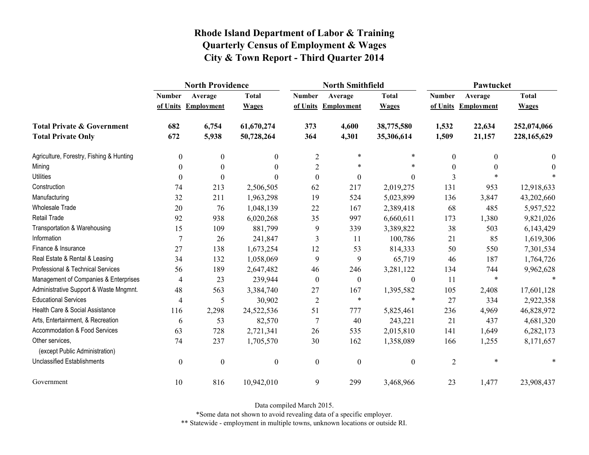|                                                   | <b>North Providence</b> |                  |                  |                  | <b>North Smithfield</b> |                  | Pawtucket      |                   |              |
|---------------------------------------------------|-------------------------|------------------|------------------|------------------|-------------------------|------------------|----------------|-------------------|--------------|
|                                                   | <b>Number</b>           | Average          | <b>Total</b>     | <b>Number</b>    | Average                 | <b>Total</b>     | <b>Number</b>  | Average           | <b>Total</b> |
|                                                   | of Units                | Employment       | <b>Wages</b>     | of Units         | <b>Employment</b>       | <b>Wages</b>     | of Units       | <b>Employment</b> | <b>Wages</b> |
| <b>Total Private &amp; Government</b>             | 682                     | 6,754            | 61,670,274       | 373              | 4,600                   | 38,775,580       | 1,532          | 22,634            | 252,074,066  |
| <b>Total Private Only</b>                         | 672                     | 5,938            | 50,728,264       | 364              | 4,301                   | 35,306,614       | 1,509          | 21,157            | 228,165,629  |
| Agriculture, Forestry, Fishing & Hunting          | $\boldsymbol{0}$        | $\theta$         | $\theta$         | $\overline{2}$   | $\ast$                  | *                | 0              | $\theta$          | $\theta$     |
| Mining                                            | $\boldsymbol{0}$        | $\theta$         | $\theta$         | $\overline{2}$   | $\ast$                  | $\ast$           | 0              |                   | $\bf{0}$     |
| <b>Utilities</b>                                  | $\theta$                | $\theta$         | $\Omega$         | $\boldsymbol{0}$ | $\boldsymbol{0}$        | $\overline{0}$   | 3              |                   |              |
| Construction                                      | 74                      | 213              | 2,506,505        | 62               | 217                     | 2,019,275        | 131            | 953               | 12,918,633   |
| Manufacturing                                     | 32                      | 211              | 1,963,298        | 19               | 524                     | 5,023,899        | 136            | 3,847             | 43,202,660   |
| Wholesale Trade                                   | 20                      | 76               | 1,048,139        | $22\,$           | 167                     | 2,389,418        | 68             | 485               | 5,957,522    |
| Retail Trade                                      | 92                      | 938              | 6,020,268        | 35               | 997                     | 6,660,611        | 173            | 1,380             | 9,821,026    |
| Transportation & Warehousing                      | 15                      | 109              | 881,799          | 9                | 339                     | 3,389,822        | 38             | 503               | 6,143,429    |
| Information                                       | $\overline{7}$          | 26               | 241,847          | 3                | 11                      | 100,786          | 21             | 85                | 1,619,306    |
| Finance & Insurance                               | 27                      | 138              | 1,673,254        | 12               | 53                      | 814,333          | 50             | 550               | 7,301,534    |
| Real Estate & Rental & Leasing                    | 34                      | 132              | 1,058,069        | 9                | 9                       | 65,719           | 46             | 187               | 1,764,726    |
| Professional & Technical Services                 | 56                      | 189              | 2,647,482        | 46               | 246                     | 3,281,122        | 134            | 744               | 9,962,628    |
| Management of Companies & Enterprises             | $\overline{4}$          | 23               | 239,944          | $\boldsymbol{0}$ | $\boldsymbol{0}$        | $\boldsymbol{0}$ | 11             | $\ast$            | $\ast$       |
| Administrative Support & Waste Mngmnt.            | 48                      | 563              | 3,384,740        | 27               | 167                     | 1,395,582        | 105            | 2,408             | 17,601,128   |
| <b>Educational Services</b>                       | $\overline{4}$          | 5                | 30,902           | $\sqrt{2}$       | $\ast$                  | $\ast$           | 27             | 334               | 2,922,358    |
| Health Care & Social Assistance                   | 116                     | 2,298            | 24,522,536       | 51               | 777                     | 5,825,461        | 236            | 4,969             | 46,828,972   |
| Arts, Entertainment, & Recreation                 | 6                       | 53               | 82,570           | 7                | 40                      | 243,221          | 21             | 437               | 4,681,320    |
| Accommodation & Food Services                     | 63                      | 728              | 2,721,341        | 26               | 535                     | 2,015,810        | 141            | 1,649             | 6,282,173    |
| Other services,<br>(except Public Administration) | 74                      | 237              | 1,705,570        | 30               | 162                     | 1,358,089        | 166            | 1,255             | 8,171,657    |
| <b>Unclassified Establishments</b>                | $\boldsymbol{0}$        | $\boldsymbol{0}$ | $\boldsymbol{0}$ | $\boldsymbol{0}$ | $\boldsymbol{0}$        | $\boldsymbol{0}$ | $\overline{2}$ | $\ast$            | *            |
| Government                                        | 10                      | 816              | 10,942,010       | 9                | 299                     | 3,468,966        | 23             | 1,477             | 23,908,437   |

Data compiled March 2015.

\*Some data not shown to avoid revealing data of a specific employer.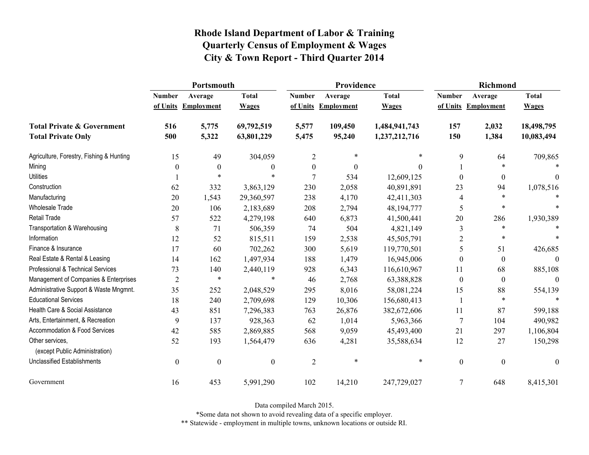|                                                   | Portsmouth       |                     |                  |                  | Providence          |               | <b>Richmond</b>  |                     |                  |
|---------------------------------------------------|------------------|---------------------|------------------|------------------|---------------------|---------------|------------------|---------------------|------------------|
|                                                   | <b>Number</b>    | Average             | <b>Total</b>     | <b>Number</b>    | Average             | <b>Total</b>  | <b>Number</b>    | Average             | <b>Total</b>     |
|                                                   |                  | of Units Employment | <b>Wages</b>     |                  | of Units Employment | <b>Wages</b>  |                  | of Units Employment | <b>Wages</b>     |
| <b>Total Private &amp; Government</b>             | 516              | 5,775               | 69,792,519       | 5,577            | 109,450             | 1,484,941,743 | 157              | 2,032               | 18,498,795       |
| <b>Total Private Only</b>                         | 500              | 5,322               | 63,801,229       | 5,475            | 95,240              | 1,237,212,716 | 150              | 1,384               | 10,083,494       |
| Agriculture, Forestry, Fishing & Hunting          | 15               | 49                  | 304,059          | $\overline{c}$   | $\ast$              | $\ast$        | 9                | 64                  | 709,865          |
| Mining                                            | $\theta$         | $\boldsymbol{0}$    | $\boldsymbol{0}$ | $\boldsymbol{0}$ | $\boldsymbol{0}$    | $\theta$      |                  |                     |                  |
| <b>Utilities</b>                                  |                  | $\ast$              | *                | $\tau$           | 534                 | 12,609,125    | $\theta$         | $\overline{0}$      | 0                |
| Construction                                      | 62               | 332                 | 3,863,129        | 230              | 2,058               | 40,891,891    | 23               | 94                  | 1,078,516        |
| Manufacturing                                     | 20               | 1,543               | 29,360,597       | 238              | 4,170               | 42,411,303    | 4                | $\ast$              |                  |
| <b>Wholesale Trade</b>                            | 20               | 106                 | 2,183,689        | 208              | 2,794               | 48,194,777    | 5                | $\ast$              |                  |
| <b>Retail Trade</b>                               | 57               | 522                 | 4,279,198        | 640              | 6,873               | 41,500,441    | 20               | 286                 | 1,930,389        |
| Transportation & Warehousing                      | $\,$ 8 $\,$      | 71                  | 506,359          | 74               | 504                 | 4,821,149     | 3                | $\ast$              |                  |
| Information                                       | 12               | 52                  | 815,511          | 159              | 2,538               | 45,505,791    | $\overline{2}$   | $\ast$              |                  |
| Finance & Insurance                               | 17               | 60                  | 702,262          | 300              | 5,619               | 119,770,501   | 5                | 51                  | 426,685          |
| Real Estate & Rental & Leasing                    | 14               | 162                 | 1,497,934        | 188              | 1,479               | 16,945,006    | $\mathbf{0}$     | $\boldsymbol{0}$    | $\Omega$         |
| Professional & Technical Services                 | 73               | 140                 | 2,440,119        | 928              | 6,343               | 116,610,967   | 11               | 68                  | 885,108          |
| Management of Companies & Enterprises             | $\overline{2}$   | *                   | $\ast$           | 46               | 2,768               | 63,388,828    | $\theta$         | $\boldsymbol{0}$    | $\theta$         |
| Administrative Support & Waste Mngmnt.            | 35               | 252                 | 2,048,529        | 295              | 8,016               | 58,081,224    | 15               | 88                  | 554,139          |
| <b>Educational Services</b>                       | 18               | 240                 | 2,709,698        | 129              | 10,306              | 156,680,413   |                  | $\ast$              | $\ast$           |
| Health Care & Social Assistance                   | 43               | 851                 | 7,296,383        | 763              | 26,876              | 382,672,606   | 11               | 87                  | 599,188          |
| Arts, Entertainment, & Recreation                 | 9                | 137                 | 928,363          | 62               | 1,014               | 5,963,366     | 7                | 104                 | 490,982          |
| Accommodation & Food Services                     | 42               | 585                 | 2,869,885        | 568              | 9,059               | 45,493,400    | 21               | 297                 | 1,106,804        |
| Other services,<br>(except Public Administration) | 52               | 193                 | 1,564,479        | 636              | 4,281               | 35,588,634    | 12               | 27                  | 150,298          |
| <b>Unclassified Establishments</b>                | $\boldsymbol{0}$ | $\boldsymbol{0}$    | $\boldsymbol{0}$ | $\overline{2}$   | $\ast$              | $\ast$        | $\boldsymbol{0}$ | $\boldsymbol{0}$    | $\boldsymbol{0}$ |
| Government                                        | 16               | 453                 | 5,991,290        | 102              | 14,210              | 247,729,027   | 7                | 648                 | 8,415,301        |

Data compiled March 2015.

\*Some data not shown to avoid revealing data of a specific employer.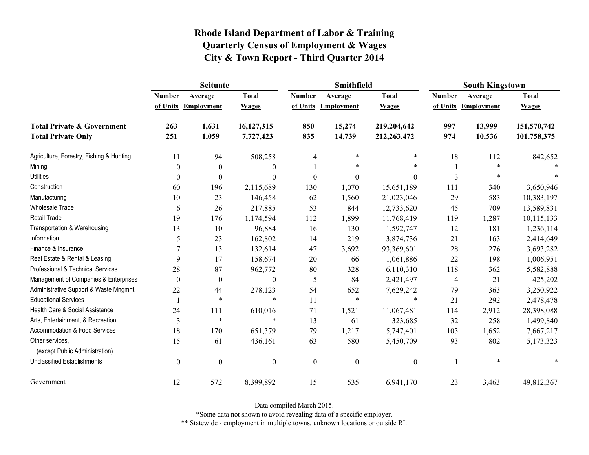|                                                   | <b>Scituate</b>  |                     |                  |                  | Smithfield        |                  | <b>South Kingstown</b> |                     |              |
|---------------------------------------------------|------------------|---------------------|------------------|------------------|-------------------|------------------|------------------------|---------------------|--------------|
|                                                   | <b>Number</b>    | Average             | <b>Total</b>     | <b>Number</b>    | Average           | <b>Total</b>     | <b>Number</b>          | Average             | <b>Total</b> |
|                                                   |                  | of Units Employment | <b>Wages</b>     | of Units         | <b>Employment</b> | <b>Wages</b>     |                        | of Units Employment | <b>Wages</b> |
| <b>Total Private &amp; Government</b>             | 263              | 1,631               | 16,127,315       | 850              | 15,274            | 219,204,642      | 997                    | 13,999              | 151,570,742  |
| <b>Total Private Only</b>                         | 251              | 1,059               | 7,727,423        | 835              | 14,739            | 212,263,472      | 974                    | 10,536              | 101,758,375  |
| Agriculture, Forestry, Fishing & Hunting          | 11               | 94                  | 508,258          | 4                | $\ast$            | $\ast$           | 18                     | 112                 | 842,652      |
| Mining                                            | $\theta$         | $\theta$            | $\mathbf{0}$     |                  | $\ast$            | $\ast$           |                        |                     |              |
| <b>Utilities</b>                                  | $\theta$         | 0                   | $\boldsymbol{0}$ | $\boldsymbol{0}$ | $\boldsymbol{0}$  | $\boldsymbol{0}$ | 3                      | $\ast$              |              |
| Construction                                      | 60               | 196                 | 2,115,689        | 130              | 1,070             | 15,651,189       | 111                    | 340                 | 3,650,946    |
| Manufacturing                                     | 10               | 23                  | 146,458          | 62               | 1,560             | 21,023,046       | 29                     | 583                 | 10,383,197   |
| Wholesale Trade                                   | 6                | 26                  | 217,885          | 53               | 844               | 12,733,620       | 45                     | 709                 | 13,589,831   |
| Retail Trade                                      | 19               | 176                 | 1,174,594        | 112              | 1,899             | 11,768,419       | 119                    | 1,287               | 10,115,133   |
| Transportation & Warehousing                      | 13               | 10                  | 96,884           | 16               | 130               | 1,592,747        | 12                     | 181                 | 1,236,114    |
| Information                                       | 5                | 23                  | 162,802          | 14               | 219               | 3,874,736        | 21                     | 163                 | 2,414,649    |
| Finance & Insurance                               |                  | 13                  | 132,614          | 47               | 3,692             | 93,369,601       | 28                     | 276                 | 3,693,282    |
| Real Estate & Rental & Leasing                    | 9                | 17                  | 158,674          | 20               | 66                | 1,061,886        | 22                     | 198                 | 1,006,951    |
| Professional & Technical Services                 | 28               | 87                  | 962,772          | $80\,$           | 328               | 6,110,310        | 118                    | 362                 | 5,582,888    |
| Management of Companies & Enterprises             | $\theta$         | $\theta$            | $\boldsymbol{0}$ | 5                | 84                | 2,421,497        | 4                      | 21                  | 425,202      |
| Administrative Support & Waste Mngmnt.            | 22               | 44                  | 278,123          | 54               | 652               | 7,629,242        | 79                     | 363                 | 3,250,922    |
| <b>Educational Services</b>                       |                  | $\ast$              | $\ast$           | 11               | $\ast$            | $\ast$           | 21                     | 292                 | 2,478,478    |
| Health Care & Social Assistance                   | 24               | 111                 | 610,016          | 71               | 1,521             | 11,067,481       | 114                    | 2,912               | 28,398,088   |
| Arts, Entertainment, & Recreation                 | $\mathfrak{Z}$   | $\ast$              | $\ast$           | 13               | 61                | 323,685          | 32                     | 258                 | 1,499,840    |
| Accommodation & Food Services                     | 18               | 170                 | 651,379          | 79               | 1,217             | 5,747,401        | 103                    | 1,652               | 7,667,217    |
| Other services,<br>(except Public Administration) | 15               | 61                  | 436,161          | 63               | 580               | 5,450,709        | 93                     | 802                 | 5,173,323    |
| <b>Unclassified Establishments</b>                | $\boldsymbol{0}$ | $\boldsymbol{0}$    | $\boldsymbol{0}$ | $\boldsymbol{0}$ | $\boldsymbol{0}$  | $\boldsymbol{0}$ |                        | $\ast$              |              |
| Government                                        | 12               | 572                 | 8,399,892        | 15               | 535               | 6,941,170        | 23                     | 3,463               | 49,812,367   |

Data compiled March 2015.

\*Some data not shown to avoid revealing data of a specific employer.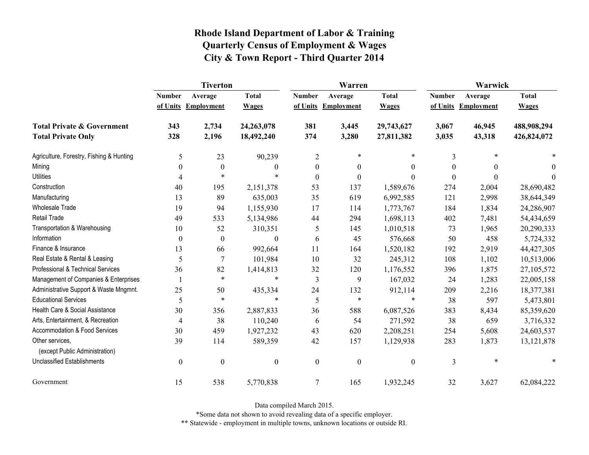|                                                   | <b>Tiverton</b>  |                     |                  |                  | Warren              |                  | Warwick       |                     |              |
|---------------------------------------------------|------------------|---------------------|------------------|------------------|---------------------|------------------|---------------|---------------------|--------------|
|                                                   | <b>Number</b>    | Average             | <b>Total</b>     | <b>Number</b>    | Average             | <b>Total</b>     | <b>Number</b> | Average             | <b>Total</b> |
|                                                   |                  | of Units Employment | <b>Wages</b>     |                  | of Units Employment | <b>Wages</b>     |               | of Units Employment | <b>Wages</b> |
| <b>Total Private &amp; Government</b>             | 343              | 2,734               | 24,263,078       | 381              | 3,445               | 29,743,627       | 3,067         | 46,945              | 488,908,294  |
| <b>Total Private Only</b>                         | 328              | 2,196               | 18,492,240       | 374              | 3,280               | 27,811,382       | 3,035         | 43,318              | 426,824,072  |
| Agriculture, Forestry, Fishing & Hunting          | 5                | 23                  | 90,239           | $\overline{2}$   | $\ast$              | $\ast$           | 3             | $\ast$              |              |
| Mining                                            | $\theta$         | 0                   | $\theta$         | $\overline{0}$   | $\mathbf{0}$        | $\theta$         | 0             | $\theta$            | $\theta$     |
| <b>Utilities</b>                                  | 4                | $\ast$              | $\ast$           | $\boldsymbol{0}$ | $\boldsymbol{0}$    | $\boldsymbol{0}$ | $\theta$      | $\theta$            | $\Omega$     |
| Construction                                      | 40               | 195                 | 2,151,378        | 53               | 137                 | 1,589,676        | 274           | 2,004               | 28,690,482   |
| Manufacturing                                     | 13               | 89                  | 635,003          | 35               | 619                 | 6,992,585        | 121           | 2,998               | 38,644,349   |
| <b>Wholesale Trade</b>                            | 19               | 94                  | 1,155,930        | 17               | 114                 | 1,773,767        | 184           | 1,834               | 24,286,907   |
| <b>Retail Trade</b>                               | 49               | 533                 | 5,134,986        | 44               | 294                 | 1,698,113        | 402           | 7,481               | 54,434,659   |
| Transportation & Warehousing                      | 10               | 52                  | 310,351          | 5                | 145                 | 1,010,518        | 73            | 1,965               | 20,290,333   |
| Information                                       | $\boldsymbol{0}$ | $\boldsymbol{0}$    | $\theta$         | 6                | 45                  | 576,668          | 50            | 458                 | 5,724,332    |
| Finance & Insurance                               | 13               | 66                  | 992,664          | 11               | 164                 | 1,520,182        | 192           | 2,919               | 44, 427, 305 |
| Real Estate & Rental & Leasing                    | 5                | 7                   | 101,984          | 10               | 32                  | 245,312          | 108           | 1,102               | 10,513,006   |
| Professional & Technical Services                 | 36               | 82                  | 1,414,813        | 32               | 120                 | 1,176,552        | 396           | 1,875               | 27,105,572   |
| Management of Companies & Enterprises             |                  | $\ast$              | $\ast$           | 3                | 9                   | 167,032          | 24            | 1,283               | 22,005,158   |
| Administrative Support & Waste Mngmnt.            | 25               | 50                  | 435,334          | 24               | 132                 | 912,114          | 209           | 2,216               | 18,377,381   |
| <b>Educational Services</b>                       | 5                | $\ast$              | $\ast$           | 5                | $\ast$              | *                | 38            | 597                 | 5,473,801    |
| Health Care & Social Assistance                   | 30               | 356                 | 2,887,833        | 36               | 588                 | 6,087,526        | 383           | 8,434               | 85,359,620   |
| Arts, Entertainment, & Recreation                 | $\overline{4}$   | 38                  | 110,240          | 6                | 54                  | 271,592          | 38            | 659                 | 3,716,332    |
| Accommodation & Food Services                     | 30               | 459                 | 1,927,232        | 43               | 620                 | 2,208,251        | 254           | 5,608               | 24,603,537   |
| Other services,<br>(except Public Administration) | 39               | 114                 | 589,359          | 42               | 157                 | 1,129,938        | 283           | 1,873               | 13, 121, 878 |
| <b>Unclassified Establishments</b>                | $\boldsymbol{0}$ | $\boldsymbol{0}$    | $\boldsymbol{0}$ | $\boldsymbol{0}$ | $\boldsymbol{0}$    | $\boldsymbol{0}$ | 3             | $\ast$              | *            |
| Government                                        | 15               | 538                 | 5,770,838        | 7                | 165                 | 1,932,245        | 32            | 3,627               | 62,084,222   |

Data compiled March 2015.

\*Some data not shown to avoid revealing data of a specific employer.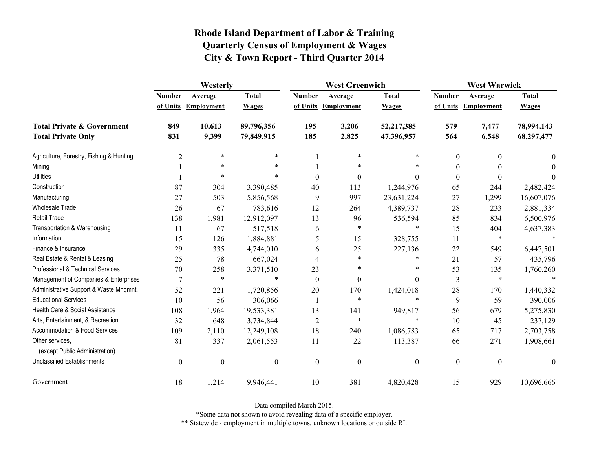|                                                   | Westerly         |                     |                  | <b>West Greenwich</b> |                     |                  | <b>West Warwick</b> |                     |              |
|---------------------------------------------------|------------------|---------------------|------------------|-----------------------|---------------------|------------------|---------------------|---------------------|--------------|
|                                                   | <b>Number</b>    | Average             | <b>Total</b>     | <b>Number</b>         | Average             | <b>Total</b>     | <b>Number</b>       | Average             | <b>Total</b> |
|                                                   |                  | of Units Employment | <b>Wages</b>     |                       | of Units Employment | <b>Wages</b>     |                     | of Units Employment | <b>Wages</b> |
| <b>Total Private &amp; Government</b>             | 849              | 10,613              | 89,796,356       | 195                   | 3,206               | 52,217,385       | 579                 | 7,477               | 78,994,143   |
| <b>Total Private Only</b>                         | 831              | 9,399               | 79,849,915       | 185                   | 2,825               | 47,396,957       | 564                 | 6,548               | 68,297,477   |
| Agriculture, Forestry, Fishing & Hunting          | $\overline{2}$   | $\ast$              | $\ast$           |                       | $\ast$              | *                | $\boldsymbol{0}$    | 0                   | $\theta$     |
| Mining                                            |                  | $\ast$              | $\ast$           |                       | $\ast$              |                  | $\theta$            |                     | $\Omega$     |
| <b>Utilities</b>                                  |                  | $\ast$              |                  | $\theta$              | $\mathbf{0}$        | $\theta$         | $\boldsymbol{0}$    | $\theta$            | $\theta$     |
| Construction                                      | 87               | 304                 | 3,390,485        | 40                    | 113                 | 1,244,976        | 65                  | 244                 | 2,482,424    |
| Manufacturing                                     | 27               | 503                 | 5,856,568        | 9                     | 997                 | 23,631,224       | 27                  | 1,299               | 16,607,076   |
| <b>Wholesale Trade</b>                            | 26               | 67                  | 783,616          | 12                    | 264                 | 4,389,737        | 28                  | 233                 | 2,881,334    |
| <b>Retail Trade</b>                               | 138              | 1,981               | 12,912,097       | 13                    | 96                  | 536,594          | 85                  | 834                 | 6,500,976    |
| Transportation & Warehousing                      | 11               | 67                  | 517,518          | 6                     | $\ast$              | $\ast$           | 15                  | 404                 | 4,637,383    |
| Information                                       | 15               | 126                 | 1,884,881        | 5                     | 15                  | 328,755          | 11                  | $\ast$              |              |
| Finance & Insurance                               | 29               | 335                 | 4,744,010        | 6                     | 25                  | 227,136          | 22                  | 549                 | 6,447,501    |
| Real Estate & Rental & Leasing                    | 25               | 78                  | 667,024          | 4                     | $\ast$              | $\ast$           | 21                  | 57                  | 435,796      |
| Professional & Technical Services                 | 70               | 258                 | 3,371,510        | 23                    | *                   | $\ast$           | 53                  | 135                 | 1,760,260    |
| Management of Companies & Enterprises             | 7                | $\ast$              | $\ast$           | $\theta$              | $\mathbf{0}$        | $\Omega$         | 3                   | $\ast$              |              |
| Administrative Support & Waste Mngmnt.            | 52               | 221                 | 1,720,856        | 20                    | 170                 | 1,424,018        | 28                  | 170                 | 1,440,332    |
| <b>Educational Services</b>                       | 10               | 56                  | 306,066          | -1                    | $\ast$              | $\ast$           | 9                   | 59                  | 390,006      |
| Health Care & Social Assistance                   | 108              | 1,964               | 19,533,381       | 13                    | 141                 | 949,817          | 56                  | 679                 | 5,275,830    |
| Arts, Entertainment, & Recreation                 | 32               | 648                 | 3,734,844        | $\overline{2}$        | $\ast$              | $\ast$           | 10                  | 45                  | 237,129      |
| Accommodation & Food Services                     | 109              | 2,110               | 12,249,108       | 18                    | 240                 | 1,086,783        | 65                  | 717                 | 2,703,758    |
| Other services,<br>(except Public Administration) | 81               | 337                 | 2,061,553        | 11                    | 22                  | 113,387          | 66                  | 271                 | 1,908,661    |
| <b>Unclassified Establishments</b>                | $\boldsymbol{0}$ | $\boldsymbol{0}$    | $\boldsymbol{0}$ | $\boldsymbol{0}$      | $\boldsymbol{0}$    | $\boldsymbol{0}$ | $\boldsymbol{0}$    | $\boldsymbol{0}$    | $\theta$     |
| Government                                        | 18               | 1,214               | 9,946,441        | 10                    | 381                 | 4,820,428        | 15                  | 929                 | 10,696,666   |

Data compiled March 2015.

\*Some data not shown to avoid revealing data of a specific employer.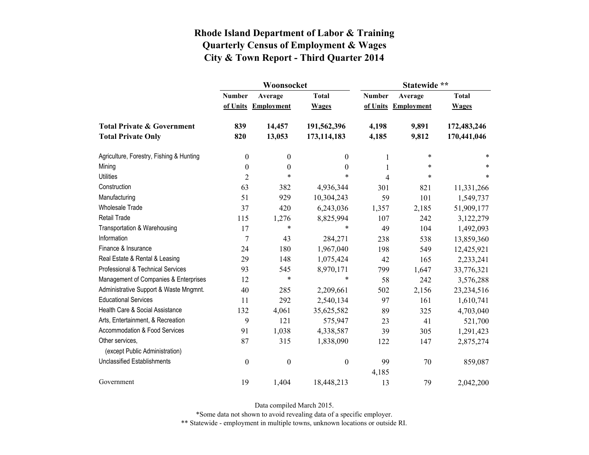|                                                   |                  | Woonsocket        |                  | Statewide **  |                   |              |  |
|---------------------------------------------------|------------------|-------------------|------------------|---------------|-------------------|--------------|--|
|                                                   | <b>Number</b>    | Average           | <b>Total</b>     | <b>Number</b> | Average           | <b>Total</b> |  |
|                                                   | of Units         | <b>Employment</b> | <b>Wages</b>     | of Units      | <b>Employment</b> | <b>Wages</b> |  |
| <b>Total Private &amp; Government</b>             | 839              | 14,457            | 191,562,396      | 4,198         | 9,891             | 172,483,246  |  |
| <b>Total Private Only</b>                         | 820              | 13,053            | 173,114,183      | 4,185         | 9,812             | 170,441,046  |  |
| Agriculture, Forestry, Fishing & Hunting          | $\boldsymbol{0}$ | $\boldsymbol{0}$  | 0                | 1             | $\ast$            | *            |  |
| Mining                                            | $\boldsymbol{0}$ | $\boldsymbol{0}$  | $\boldsymbol{0}$ | 1             | $\ast$            | *            |  |
| <b>Utilities</b>                                  | $\overline{2}$   | $\ast$            | $\ast$           | 4             | $\ast$            | $\ast$       |  |
| Construction                                      | 63               | 382               | 4,936,344        | 301           | 821               | 11,331,266   |  |
| Manufacturing                                     | 51               | 929               | 10,304,243       | 59            | 101               | 1,549,737    |  |
| <b>Wholesale Trade</b>                            | 37               | 420               | 6,243,036        | 1,357         | 2,185             | 51,909,177   |  |
| Retail Trade                                      | 115              | 1,276             | 8,825,994        | 107           | 242               | 3,122,279    |  |
| Transportation & Warehousing                      | 17               | $\ast$            | *                | 49            | 104               | 1,492,093    |  |
| Information                                       | $\overline{7}$   | 43                | 284,271          | 238           | 538               | 13,859,360   |  |
| Finance & Insurance                               | 24               | 180               | 1,967,040        | 198           | 549               | 12,425,921   |  |
| Real Estate & Rental & Leasing                    | 29               | 148               | 1,075,424        | 42            | 165               | 2,233,241    |  |
| Professional & Technical Services                 | 93               | 545               | 8,970,171        | 799           | 1,647             | 33,776,321   |  |
| Management of Companies & Enterprises             | 12               | $\ast$            | $\ast$           | 58            | 242               | 3,576,288    |  |
| Administrative Support & Waste Mngmnt.            | 40               | 285               | 2,209,661        | 502           | 2,156             | 23,234,516   |  |
| <b>Educational Services</b>                       | 11               | 292               | 2,540,134        | 97            | 161               | 1,610,741    |  |
| Health Care & Social Assistance                   | 132              | 4,061             | 35,625,582       | 89            | 325               | 4,703,040    |  |
| Arts, Entertainment, & Recreation                 | 9                | 121               | 575,947          | 23            | 41                | 521,700      |  |
| Accommodation & Food Services                     | 91               | 1,038             | 4,338,587        | 39            | 305               | 1,291,423    |  |
| Other services,<br>(except Public Administration) | 87               | 315               | 1,838,090        | 122           | 147               | 2,875,274    |  |
| <b>Unclassified Establishments</b>                | $\boldsymbol{0}$ | $\boldsymbol{0}$  | $\boldsymbol{0}$ | 99            | 70                | 859,087      |  |
| Government                                        | 19               | 1,404             | 18,448,213       | 4,185<br>13   | 79                | 2,042,200    |  |

Data compiled March 2015.

\*Some data not shown to avoid revealing data of a specific employer.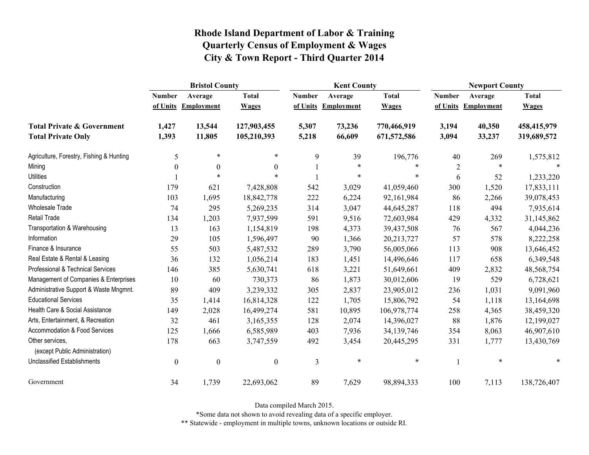|                                                   | <b>Bristol County</b> |                   |                  |               | <b>Kent County</b> |              |                | <b>Newport County</b> |              |  |
|---------------------------------------------------|-----------------------|-------------------|------------------|---------------|--------------------|--------------|----------------|-----------------------|--------------|--|
|                                                   | <b>Number</b>         | Average           | <b>Total</b>     | <b>Number</b> | Average            | <b>Total</b> | <b>Number</b>  | Average               | <b>Total</b> |  |
|                                                   | of Units              | <b>Employment</b> | <b>Wages</b>     | of Units      | <b>Employment</b>  | <b>Wages</b> | of Units       | <b>Employment</b>     | <b>Wages</b> |  |
| <b>Total Private &amp; Government</b>             | 1,427                 | 13,544            | 127,903,455      | 5,307         | 73,236             | 770,466,919  | 3,194          | 40,350                | 458,415,979  |  |
| <b>Total Private Only</b>                         | 1,393                 | 11,805            | 105,210,393      | 5,218         | 66,609             | 671,572,586  | 3,094          | 33,237                | 319,689,572  |  |
| Agriculture, Forestry, Fishing & Hunting          | 5                     | $\ast$            | *                | 9             | 39                 | 196,776      | 40             | 269                   | 1,575,812    |  |
| Mining                                            | $\boldsymbol{0}$      | $\boldsymbol{0}$  | $\boldsymbol{0}$ |               | $\ast$             | $\ast$       | $\overline{c}$ | $\ast$                |              |  |
| <b>Utilities</b>                                  |                       | $\ast$            | $\ast$           |               | $\ast$             | *            | 6              | 52                    | 1,233,220    |  |
| Construction                                      | 179                   | 621               | 7,428,808        | 542           | 3,029              | 41,059,460   | 300            | 1,520                 | 17,833,111   |  |
| Manufacturing                                     | 103                   | 1,695             | 18,842,778       | 222           | 6,224              | 92,161,984   | 86             | 2,266                 | 39,078,453   |  |
| Wholesale Trade                                   | 74                    | 295               | 5,269,235        | 314           | 3,047              | 44,645,287   | 118            | 494                   | 7,935,614    |  |
| <b>Retail Trade</b>                               | 134                   | 1,203             | 7,937,599        | 591           | 9,516              | 72,603,984   | 429            | 4,332                 | 31,145,862   |  |
| Transportation & Warehousing                      | 13                    | 163               | 1,154,819        | 198           | 4,373              | 39,437,508   | 76             | 567                   | 4,044,236    |  |
| Information                                       | 29                    | 105               | 1,596,497        | 90            | 1,366              | 20,213,727   | 57             | 578                   | 8,222,258    |  |
| Finance & Insurance                               | 55                    | 503               | 5,487,532        | 289           | 3,790              | 56,005,066   | 113            | 908                   | 13,646,452   |  |
| Real Estate & Rental & Leasing                    | 36                    | 132               | 1,056,214        | 183           | 1,451              | 14,496,646   | 117            | 658                   | 6,349,548    |  |
| Professional & Technical Services                 | 146                   | 385               | 5,630,741        | 618           | 3,221              | 51,649,661   | 409            | 2,832                 | 48,568,754   |  |
| Management of Companies & Enterprises             | 10                    | 60                | 730,373          | 86            | 1,873              | 30,012,606   | 19             | 529                   | 6,728,621    |  |
| Administrative Support & Waste Mngmnt.            | 89                    | 409               | 3,239,332        | 305           | 2,837              | 23,905,012   | 236            | 1,031                 | 9,091,960    |  |
| <b>Educational Services</b>                       | 35                    | 1,414             | 16,814,328       | 122           | 1,705              | 15,806,792   | 54             | 1,118                 | 13,164,698   |  |
| Health Care & Social Assistance                   | 149                   | 2,028             | 16,499,274       | 581           | 10,895             | 106,978,774  | 258            | 4,365                 | 38,459,320   |  |
| Arts, Entertainment, & Recreation                 | 32                    | 461               | 3,165,355        | 128           | 2,074              | 14,396,027   | 88             | 1,876                 | 12,199,027   |  |
| Accommodation & Food Services                     | 125                   | 1,666             | 6,585,989        | 403           | 7,936              | 34,139,746   | 354            | 8,063                 | 46,907,610   |  |
| Other services,<br>(except Public Administration) | 178                   | 663               | 3,747,559        | 492           | 3,454              | 20,445,295   | 331            | 1,777                 | 13,430,769   |  |
| <b>Unclassified Establishments</b>                | $\boldsymbol{0}$      | $\boldsymbol{0}$  | $\boldsymbol{0}$ | 3             | $\ast$             | $\ast$       |                | $\ast$                | $\ast$       |  |
| Government                                        | 34                    | 1,739             | 22,693,062       | 89            | 7,629              | 98,894,333   | 100            | 7,113                 | 138,726,407  |  |

Data compiled March 2015.

\*Some data not shown to avoid revealing data of a specific employer.